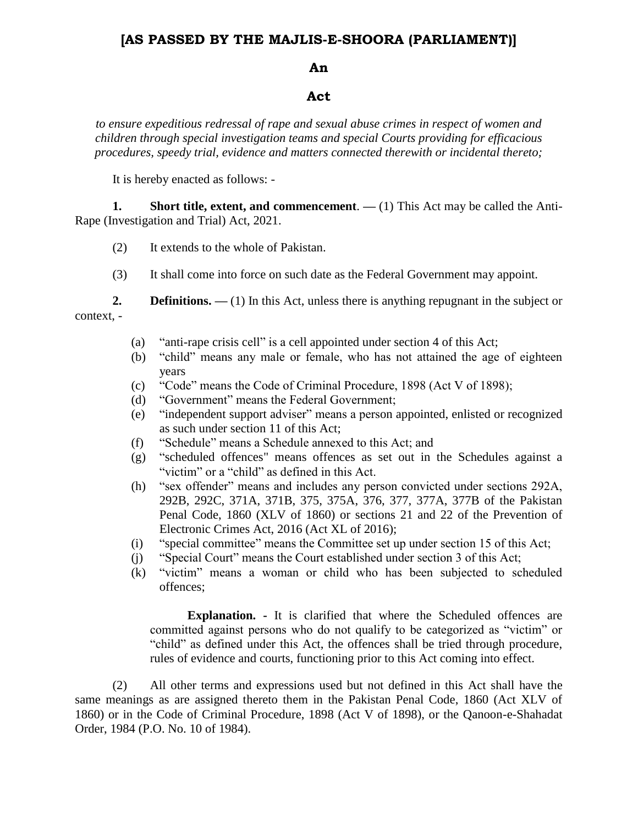# **[AS PASSED BY THE MAJLIS-E-SHOORA (PARLIAMENT)]**

## **An**

#### **Act**

*to ensure expeditious redressal of rape and sexual abuse crimes in respect of women and children through special investigation teams and special Courts providing for efficacious procedures, speedy trial, evidence and matters connected therewith or incidental thereto;*

It is hereby enacted as follows: -

**1. Short title, extent, and commencement**. **—** (1) This Act may be called the Anti-Rape (Investigation and Trial) Act, 2021.

- (2) It extends to the whole of Pakistan.
- (3) It shall come into force on such date as the Federal Government may appoint.

**2. Definitions.** — (1) In this Act, unless there is anything repugnant in the subject or context, -

- (a) "anti-rape crisis cell" is a cell appointed under section 4 of this Act;
- (b) "child" means any male or female, who has not attained the age of eighteen years
- (c) "Code" means the Code of Criminal Procedure, 1898 (Act V of 1898);
- (d) "Government" means the Federal Government;
- (e) "independent support adviser" means a person appointed, enlisted or recognized as such under section 11 of this Act;
- (f) "Schedule" means a Schedule annexed to this Act; and
- (g) "scheduled offences" means offences as set out in the Schedules against a "victim" or a "child" as defined in this Act.
- (h) "sex offender" means and includes any person convicted under sections 292A, 292B, 292C, 371A, 371B, 375, 375A, 376, 377, 377A, 377B of the Pakistan Penal Code, 1860 (XLV of 1860) or sections 21 and 22 of the Prevention of Electronic Crimes Act, 2016 (Act XL of 2016);
- (i) "special committee" means the Committee set up under section 15 of this Act;
- (j) "Special Court" means the Court established under section 3 of this Act;
- (k) "victim" means a woman or child who has been subjected to scheduled offences;

**Explanation. -** It is clarified that where the Scheduled offences are committed against persons who do not qualify to be categorized as "victim" or "child" as defined under this Act, the offences shall be tried through procedure, rules of evidence and courts, functioning prior to this Act coming into effect.

(2) All other terms and expressions used but not defined in this Act shall have the same meanings as are assigned thereto them in the Pakistan Penal Code, 1860 (Act XLV of 1860) or in the Code of Criminal Procedure, 1898 (Act V of 1898), or the Qanoon-e-Shahadat Order, 1984 (P.O. No. 10 of 1984).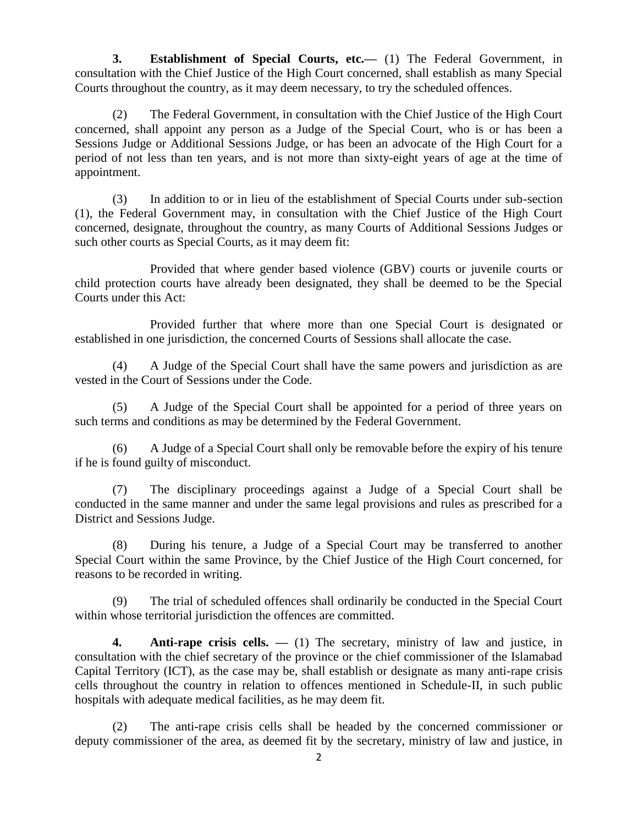**3. Establishment of Special Courts, etc.—** (1) The Federal Government, in consultation with the Chief Justice of the High Court concerned, shall establish as many Special Courts throughout the country, as it may deem necessary, to try the scheduled offences.

(2) The Federal Government, in consultation with the Chief Justice of the High Court concerned, shall appoint any person as a Judge of the Special Court, who is or has been a Sessions Judge or Additional Sessions Judge, or has been an advocate of the High Court for a period of not less than ten years, and is not more than sixty-eight years of age at the time of appointment.

(3) In addition to or in lieu of the establishment of Special Courts under sub-section (1), the Federal Government may, in consultation with the Chief Justice of the High Court concerned, designate, throughout the country, as many Courts of Additional Sessions Judges or such other courts as Special Courts, as it may deem fit:

Provided that where gender based violence (GBV) courts or juvenile courts or child protection courts have already been designated, they shall be deemed to be the Special Courts under this Act:

Provided further that where more than one Special Court is designated or established in one jurisdiction, the concerned Courts of Sessions shall allocate the case.

(4) A Judge of the Special Court shall have the same powers and jurisdiction as are vested in the Court of Sessions under the Code.

(5) A Judge of the Special Court shall be appointed for a period of three years on such terms and conditions as may be determined by the Federal Government.

(6) A Judge of a Special Court shall only be removable before the expiry of his tenure if he is found guilty of misconduct.

(7) The disciplinary proceedings against a Judge of a Special Court shall be conducted in the same manner and under the same legal provisions and rules as prescribed for a District and Sessions Judge.

(8) During his tenure, a Judge of a Special Court may be transferred to another Special Court within the same Province, by the Chief Justice of the High Court concerned, for reasons to be recorded in writing.

(9) The trial of scheduled offences shall ordinarily be conducted in the Special Court within whose territorial jurisdiction the offences are committed.

**4. Anti-rape crisis cells. —** (1) The secretary, ministry of law and justice, in consultation with the chief secretary of the province or the chief commissioner of the Islamabad Capital Territory (ICT), as the case may be, shall establish or designate as many anti-rape crisis cells throughout the country in relation to offences mentioned in Schedule-II, in such public hospitals with adequate medical facilities, as he may deem fit.

(2) The anti-rape crisis cells shall be headed by the concerned commissioner or deputy commissioner of the area, as deemed fit by the secretary, ministry of law and justice, in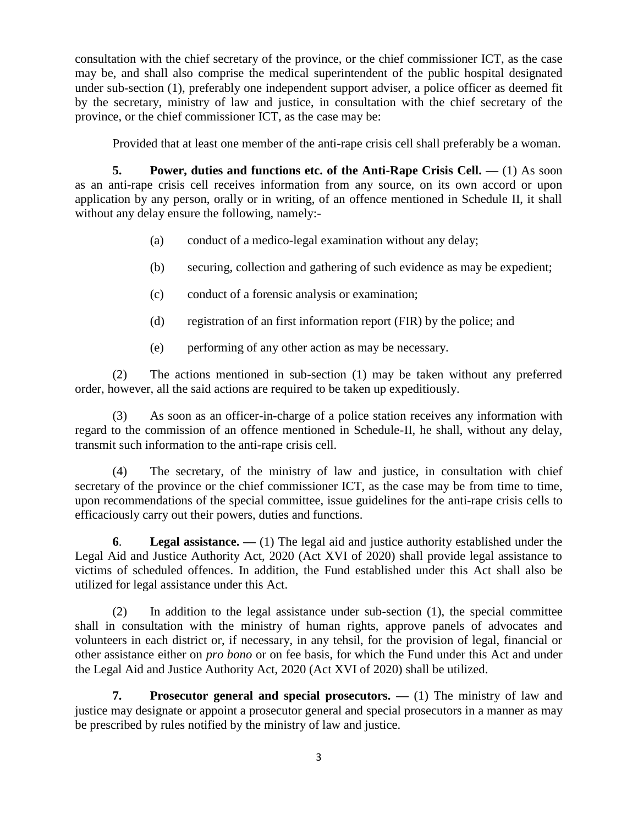consultation with the chief secretary of the province, or the chief commissioner ICT, as the case may be, and shall also comprise the medical superintendent of the public hospital designated under sub-section (1), preferably one independent support adviser, a police officer as deemed fit by the secretary, ministry of law and justice, in consultation with the chief secretary of the province, or the chief commissioner ICT, as the case may be:

Provided that at least one member of the anti-rape crisis cell shall preferably be a woman.

**5.** Power, duties and functions etc. of the Anti-Rape Crisis Cell. — (1) As soon as an anti-rape crisis cell receives information from any source, on its own accord or upon application by any person, orally or in writing, of an offence mentioned in Schedule II, it shall without any delay ensure the following, namely:-

- (a) conduct of a medico-legal examination without any delay;
- (b) securing, collection and gathering of such evidence as may be expedient;
- (c) conduct of a forensic analysis or examination;
- (d) registration of an first information report (FIR) by the police; and
- (e) performing of any other action as may be necessary.

(2) The actions mentioned in sub-section (1) may be taken without any preferred order, however, all the said actions are required to be taken up expeditiously.

(3) As soon as an officer-in-charge of a police station receives any information with regard to the commission of an offence mentioned in Schedule-II, he shall, without any delay, transmit such information to the anti-rape crisis cell.

(4) The secretary, of the ministry of law and justice, in consultation with chief secretary of the province or the chief commissioner ICT, as the case may be from time to time, upon recommendations of the special committee, issue guidelines for the anti-rape crisis cells to efficaciously carry out their powers, duties and functions.

**6**. **Legal assistance. —** (1) The legal aid and justice authority established under the Legal Aid and Justice Authority Act, 2020 (Act XVI of 2020) shall provide legal assistance to victims of scheduled offences. In addition, the Fund established under this Act shall also be utilized for legal assistance under this Act.

(2) In addition to the legal assistance under sub-section (1), the special committee shall in consultation with the ministry of human rights, approve panels of advocates and volunteers in each district or, if necessary, in any tehsil, for the provision of legal, financial or other assistance either on *pro bono* or on fee basis, for which the Fund under this Act and under the Legal Aid and Justice Authority Act, 2020 (Act XVI of 2020) shall be utilized.

**7. Prosecutor general and special prosecutors. —** (1) The ministry of law and justice may designate or appoint a prosecutor general and special prosecutors in a manner as may be prescribed by rules notified by the ministry of law and justice.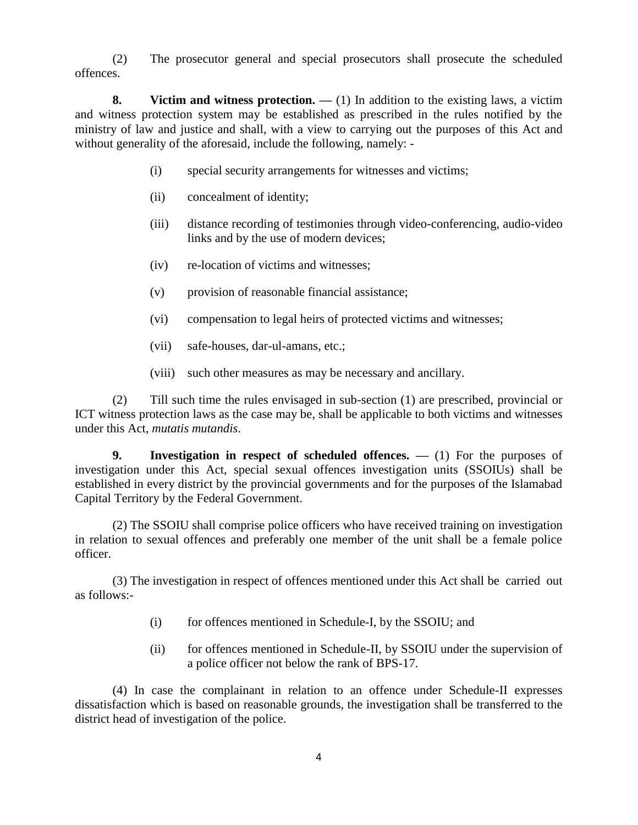(2) The prosecutor general and special prosecutors shall prosecute the scheduled offences.

**8.** Victim and witness protection. — (1) In addition to the existing laws, a victim and witness protection system may be established as prescribed in the rules notified by the ministry of law and justice and shall, with a view to carrying out the purposes of this Act and without generality of the aforesaid, include the following, namely: -

- (i) special security arrangements for witnesses and victims;
- (ii) concealment of identity;
- (iii) distance recording of testimonies through video-conferencing, audio-video links and by the use of modern devices;
- (iv) re-location of victims and witnesses;
- (v) provision of reasonable financial assistance;
- (vi) compensation to legal heirs of protected victims and witnesses;
- (vii) safe-houses, dar-ul-amans, etc.;
- (viii) such other measures as may be necessary and ancillary.

(2) Till such time the rules envisaged in sub-section (1) are prescribed, provincial or ICT witness protection laws as the case may be, shall be applicable to both victims and witnesses under this Act, *mutatis mutandis*.

**9. Investigation in respect of scheduled offences. —** (1) For the purposes of investigation under this Act, special sexual offences investigation units (SSOIUs) shall be established in every district by the provincial governments and for the purposes of the Islamabad Capital Territory by the Federal Government.

(2) The SSOIU shall comprise police officers who have received training on investigation in relation to sexual offences and preferably one member of the unit shall be a female police officer.

(3) The investigation in respect of offences mentioned under this Act shall be carried out as follows:-

- (i) for offences mentioned in Schedule-I, by the SSOIU; and
- (ii) for offences mentioned in Schedule-II, by SSOIU under the supervision of a police officer not below the rank of BPS-17.

(4) In case the complainant in relation to an offence under Schedule-II expresses dissatisfaction which is based on reasonable grounds, the investigation shall be transferred to the district head of investigation of the police.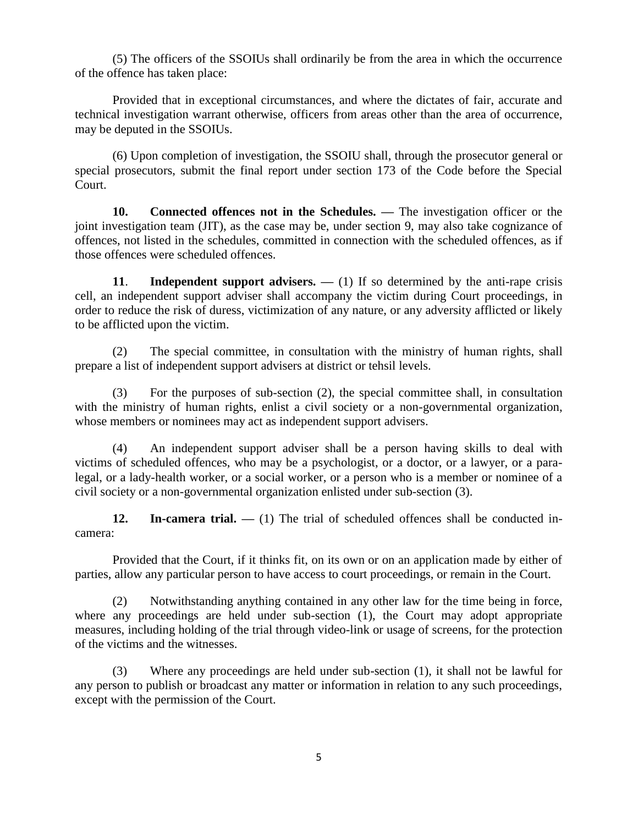(5) The officers of the SSOIUs shall ordinarily be from the area in which the occurrence of the offence has taken place:

Provided that in exceptional circumstances, and where the dictates of fair, accurate and technical investigation warrant otherwise, officers from areas other than the area of occurrence, may be deputed in the SSOIUs.

(6) Upon completion of investigation, the SSOIU shall, through the prosecutor general or special prosecutors, submit the final report under section 173 of the Code before the Special Court.

**10. Connected offences not in the Schedules. —** The investigation officer or the joint investigation team (JIT), as the case may be, under section 9, may also take cognizance of offences, not listed in the schedules, committed in connection with the scheduled offences, as if those offences were scheduled offences.

**11. Independent support advisers.** — (1) If so determined by the anti-rape crisis cell, an independent support adviser shall accompany the victim during Court proceedings, in order to reduce the risk of duress, victimization of any nature, or any adversity afflicted or likely to be afflicted upon the victim.

(2) The special committee, in consultation with the ministry of human rights, shall prepare a list of independent support advisers at district or tehsil levels.

(3) For the purposes of sub-section (2), the special committee shall, in consultation with the ministry of human rights, enlist a civil society or a non-governmental organization, whose members or nominees may act as independent support advisers.

(4) An independent support adviser shall be a person having skills to deal with victims of scheduled offences, who may be a psychologist, or a doctor, or a lawyer, or a paralegal, or a lady-health worker, or a social worker, or a person who is a member or nominee of a civil society or a non-governmental organization enlisted under sub-section (3).

**12. In-camera trial. —** (1) The trial of scheduled offences shall be conducted incamera:

Provided that the Court, if it thinks fit, on its own or on an application made by either of parties, allow any particular person to have access to court proceedings, or remain in the Court.

(2) Notwithstanding anything contained in any other law for the time being in force, where any proceedings are held under sub-section (1), the Court may adopt appropriate measures, including holding of the trial through video-link or usage of screens, for the protection of the victims and the witnesses.

(3) Where any proceedings are held under sub-section (1), it shall not be lawful for any person to publish or broadcast any matter or information in relation to any such proceedings, except with the permission of the Court.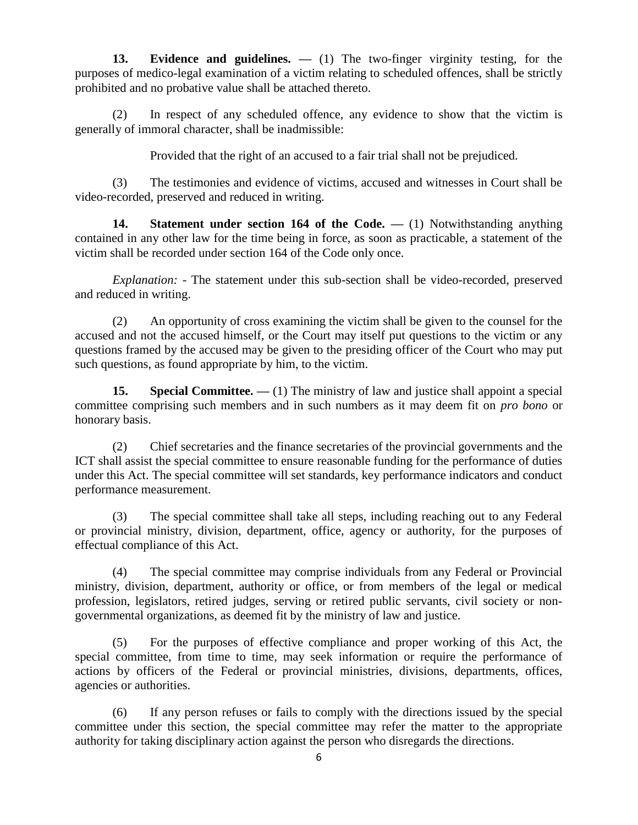**13. Evidence and guidelines. —** (1) The two-finger virginity testing, for the purposes of medico-legal examination of a victim relating to scheduled offences, shall be strictly prohibited and no probative value shall be attached thereto.

(2) In respect of any scheduled offence, any evidence to show that the victim is generally of immoral character, shall be inadmissible:

Provided that the right of an accused to a fair trial shall not be prejudiced.

(3) The testimonies and evidence of victims, accused and witnesses in Court shall be video-recorded, preserved and reduced in writing.

**14. Statement under section 164 of the Code. —** (1) Notwithstanding anything contained in any other law for the time being in force, as soon as practicable, a statement of the victim shall be recorded under section 164 of the Code only once.

*Explanation: -* The statement under this sub-section shall be video-recorded, preserved and reduced in writing.

(2) An opportunity of cross examining the victim shall be given to the counsel for the accused and not the accused himself, or the Court may itself put questions to the victim or any questions framed by the accused may be given to the presiding officer of the Court who may put such questions, as found appropriate by him, to the victim.

**15. Special Committee.** — (1) The ministry of law and justice shall appoint a special committee comprising such members and in such numbers as it may deem fit on *pro bono* or honorary basis.

(2) Chief secretaries and the finance secretaries of the provincial governments and the ICT shall assist the special committee to ensure reasonable funding for the performance of duties under this Act. The special committee will set standards, key performance indicators and conduct performance measurement.

(3) The special committee shall take all steps, including reaching out to any Federal or provincial ministry, division, department, office, agency or authority, for the purposes of effectual compliance of this Act.

(4) The special committee may comprise individuals from any Federal or Provincial ministry, division, department, authority or office, or from members of the legal or medical profession, legislators, retired judges, serving or retired public servants, civil society or nongovernmental organizations, as deemed fit by the ministry of law and justice.

(5) For the purposes of effective compliance and proper working of this Act, the special committee, from time to time, may seek information or require the performance of actions by officers of the Federal or provincial ministries, divisions, departments, offices, agencies or authorities.

(6) If any person refuses or fails to comply with the directions issued by the special committee under this section, the special committee may refer the matter to the appropriate authority for taking disciplinary action against the person who disregards the directions.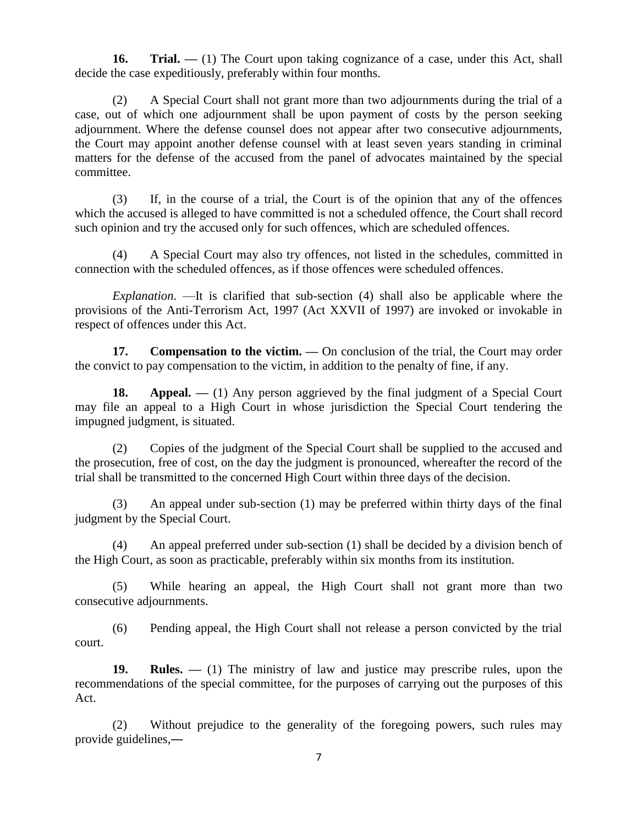**16. Trial.** — (1) The Court upon taking cognizance of a case, under this Act, shall decide the case expeditiously, preferably within four months.

(2) A Special Court shall not grant more than two adjournments during the trial of a case, out of which one adjournment shall be upon payment of costs by the person seeking adjournment. Where the defense counsel does not appear after two consecutive adjournments, the Court may appoint another defense counsel with at least seven years standing in criminal matters for the defense of the accused from the panel of advocates maintained by the special committee.

(3) If, in the course of a trial, the Court is of the opinion that any of the offences which the accused is alleged to have committed is not a scheduled offence, the Court shall record such opinion and try the accused only for such offences, which are scheduled offences.

(4) A Special Court may also try offences, not listed in the schedules, committed in connection with the scheduled offences, as if those offences were scheduled offences.

*Explanation*. —It is clarified that sub-section (4) shall also be applicable where the provisions of the Anti-Terrorism Act, 1997 (Act XXVII of 1997) are invoked or invokable in respect of offences under this Act.

**17.** Compensation to the victim. — On conclusion of the trial, the Court may order the convict to pay compensation to the victim, in addition to the penalty of fine, if any.

**18.** Appeal. — (1) Any person aggrieved by the final judgment of a Special Court may file an appeal to a High Court in whose jurisdiction the Special Court tendering the impugned judgment, is situated.

(2) Copies of the judgment of the Special Court shall be supplied to the accused and the prosecution, free of cost, on the day the judgment is pronounced, whereafter the record of the trial shall be transmitted to the concerned High Court within three days of the decision.

(3) An appeal under sub-section (1) may be preferred within thirty days of the final judgment by the Special Court.

(4) An appeal preferred under sub-section (1) shall be decided by a division bench of the High Court, as soon as practicable, preferably within six months from its institution.

(5) While hearing an appeal, the High Court shall not grant more than two consecutive adjournments.

(6) Pending appeal, the High Court shall not release a person convicted by the trial court.

**19. Rules. —** (1) The ministry of law and justice may prescribe rules, upon the recommendations of the special committee, for the purposes of carrying out the purposes of this Act.

(2) Without prejudice to the generality of the foregoing powers, such rules may provide guidelines,―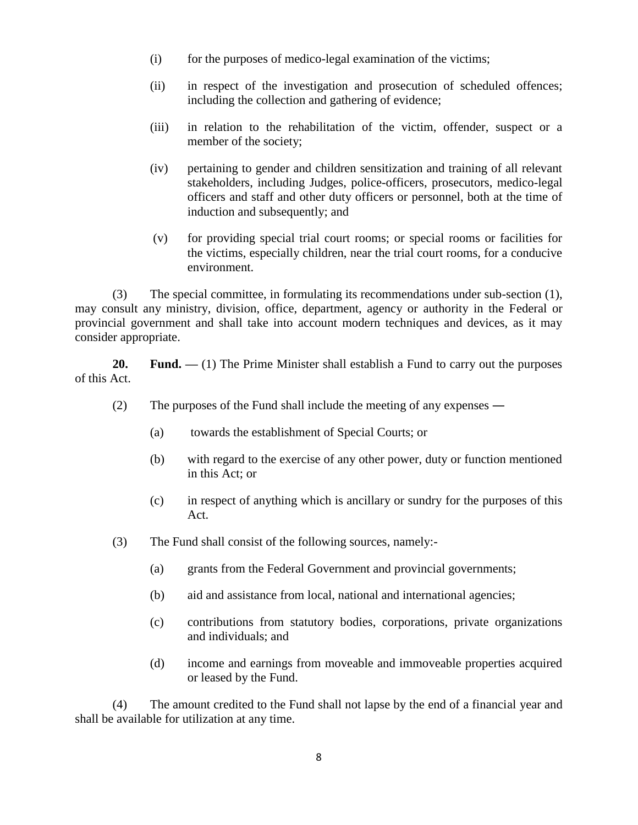- $(i)$  for the purposes of medico-legal examination of the victims;
- (ii) in respect of the investigation and prosecution of scheduled offences; including the collection and gathering of evidence;
- (iii) in relation to the rehabilitation of the victim, offender, suspect or a member of the society;
- (iv) pertaining to gender and children sensitization and training of all relevant stakeholders, including Judges, police-officers, prosecutors, medico-legal officers and staff and other duty officers or personnel, both at the time of induction and subsequently; and
- (v) for providing special trial court rooms; or special rooms or facilities for the victims, especially children, near the trial court rooms, for a conducive environment.

(3) The special committee, in formulating its recommendations under sub-section (1), may consult any ministry, division, office, department, agency or authority in the Federal or provincial government and shall take into account modern techniques and devices, as it may consider appropriate.

**20. Fund.** — (1) The Prime Minister shall establish a Fund to carry out the purposes of this Act.

- (2) The purposes of the Fund shall include the meeting of any expenses ―
	- (a) towards the establishment of Special Courts; or
	- (b) with regard to the exercise of any other power, duty or function mentioned in this Act; or
	- (c) in respect of anything which is ancillary or sundry for the purposes of this Act.
- (3) The Fund shall consist of the following sources, namely:-
	- (a) grants from the Federal Government and provincial governments;
	- (b) aid and assistance from local, national and international agencies;
	- (c) contributions from statutory bodies, corporations, private organizations and individuals; and
	- (d) income and earnings from moveable and immoveable properties acquired or leased by the Fund.

(4) The amount credited to the Fund shall not lapse by the end of a financial year and shall be available for utilization at any time.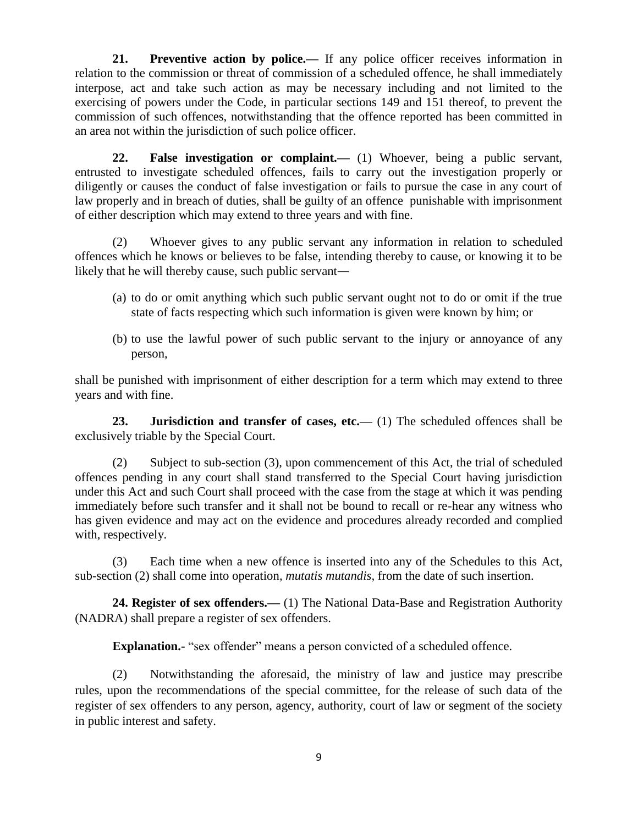**21. Preventive action by police.—** If any police officer receives information in relation to the commission or threat of commission of a scheduled offence, he shall immediately interpose, act and take such action as may be necessary including and not limited to the exercising of powers under the Code, in particular sections 149 and 151 thereof, to prevent the commission of such offences, notwithstanding that the offence reported has been committed in an area not within the jurisdiction of such police officer.

**22. False investigation or complaint.—** (1) Whoever, being a public servant, entrusted to investigate scheduled offences, fails to carry out the investigation properly or diligently or causes the conduct of false investigation or fails to pursue the case in any court of law properly and in breach of duties, shall be guilty of an offence punishable with imprisonment of either description which may extend to three years and with fine.

(2) Whoever gives to any public servant any information in relation to scheduled offences which he knows or believes to be false, intending thereby to cause, or knowing it to be likely that he will thereby cause, such public servant―

- (a) to do or omit anything which such public servant ought not to do or omit if the true state of facts respecting which such information is given were known by him; or
- (b) to use the lawful power of such public servant to the injury or annoyance of any person,

shall be punished with imprisonment of either description for a term which may extend to three years and with fine.

**23. Jurisdiction and transfer of cases, etc.—** (1) The scheduled offences shall be exclusively triable by the Special Court.

(2) Subject to sub-section (3), upon commencement of this Act, the trial of scheduled offences pending in any court shall stand transferred to the Special Court having jurisdiction under this Act and such Court shall proceed with the case from the stage at which it was pending immediately before such transfer and it shall not be bound to recall or re-hear any witness who has given evidence and may act on the evidence and procedures already recorded and complied with, respectively.

(3) Each time when a new offence is inserted into any of the Schedules to this Act, sub-section (2) shall come into operation*, mutatis mutandis*, from the date of such insertion.

**24. Register of sex offenders.—** (1) The National Data-Base and Registration Authority (NADRA) shall prepare a register of sex offenders.

**Explanation.** "sex offender" means a person convicted of a scheduled offence.

(2) Notwithstanding the aforesaid, the ministry of law and justice may prescribe rules, upon the recommendations of the special committee, for the release of such data of the register of sex offenders to any person, agency, authority, court of law or segment of the society in public interest and safety.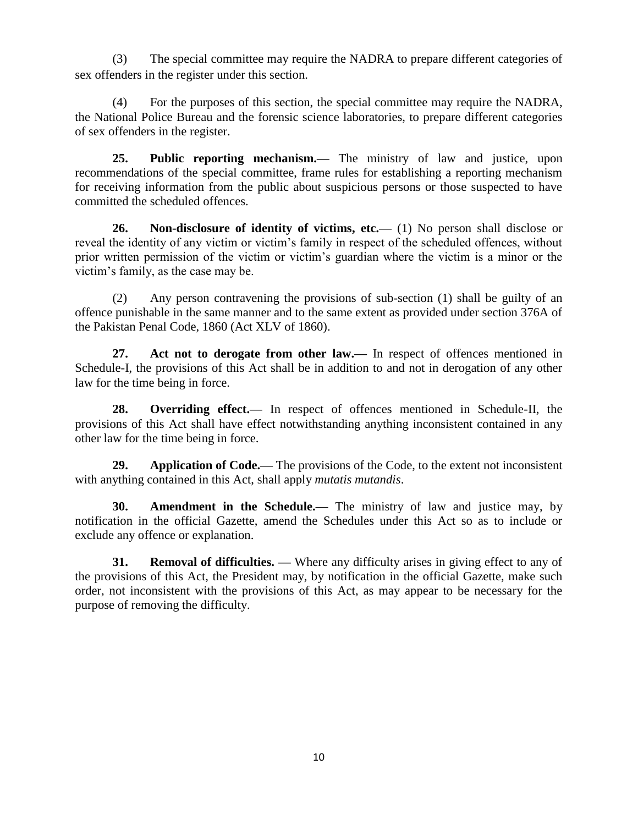(3) The special committee may require the NADRA to prepare different categories of sex offenders in the register under this section.

(4) For the purposes of this section, the special committee may require the NADRA, the National Police Bureau and the forensic science laboratories, to prepare different categories of sex offenders in the register.

**25. Public reporting mechanism.—** The ministry of law and justice, upon recommendations of the special committee, frame rules for establishing a reporting mechanism for receiving information from the public about suspicious persons or those suspected to have committed the scheduled offences.

**26. Non-disclosure of identity of victims, etc.—** (1) No person shall disclose or reveal the identity of any victim or victim's family in respect of the scheduled offences, without prior written permission of the victim or victim's guardian where the victim is a minor or the victim's family, as the case may be.

(2) Any person contravening the provisions of sub-section (1) shall be guilty of an offence punishable in the same manner and to the same extent as provided under section 376A of the Pakistan Penal Code, 1860 (Act XLV of 1860).

**27. Act not to derogate from other law.—** In respect of offences mentioned in Schedule-I, the provisions of this Act shall be in addition to and not in derogation of any other law for the time being in force.

**28. Overriding effect.—** In respect of offences mentioned in Schedule-II, the provisions of this Act shall have effect notwithstanding anything inconsistent contained in any other law for the time being in force.

**29. Application of Code.—** The provisions of the Code, to the extent not inconsistent with anything contained in this Act, shall apply *mutatis mutandis*.

**30. Amendment in the Schedule.—** The ministry of law and justice may, by notification in the official Gazette, amend the Schedules under this Act so as to include or exclude any offence or explanation.

**31. Removal of difficulties. —** Where any difficulty arises in giving effect to any of the provisions of this Act, the President may, by notification in the official Gazette, make such order, not inconsistent with the provisions of this Act, as may appear to be necessary for the purpose of removing the difficulty.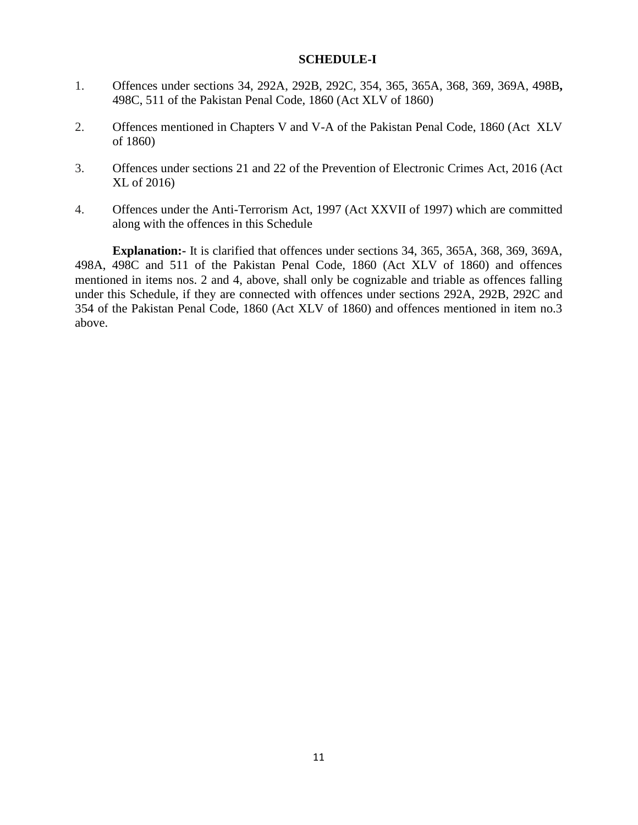# **SCHEDULE-I**

- 1. Offences under sections 34, 292A, 292B, 292C, 354, 365, 365A, 368, 369, 369A, 498B**,**  498C, 511 of the Pakistan Penal Code, 1860 (Act XLV of 1860)
- 2. Offences mentioned in Chapters V and V-A of the Pakistan Penal Code, 1860 (Act XLV of 1860)
- 3. Offences under sections 21 and 22 of the Prevention of Electronic Crimes Act, 2016 (Act XL of 2016)
- 4. Offences under the Anti-Terrorism Act, 1997 (Act XXVII of 1997) which are committed along with the offences in this Schedule

**Explanation:-** It is clarified that offences under sections 34, 365, 365A, 368, 369, 369A, 498A, 498C and 511 of the Pakistan Penal Code, 1860 (Act XLV of 1860) and offences mentioned in items nos. 2 and 4, above, shall only be cognizable and triable as offences falling under this Schedule, if they are connected with offences under sections 292A, 292B, 292C and 354 of the Pakistan Penal Code, 1860 (Act XLV of 1860) and offences mentioned in item no.3 above.